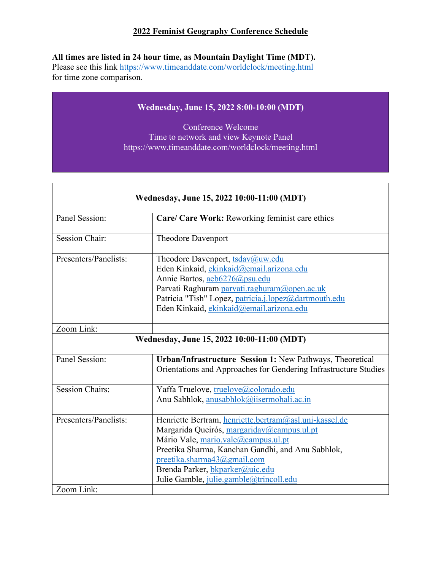### **2022 Feminist Geography Conference Schedule**

**All times are listed in 24 hour time, as Mountain Daylight Time (MDT).** 

Please see this link https://www.timeanddate.com/worldclock/meeting.html for time zone comparison.

 $\Gamma$ 

### **Wednesday, June 15, 2022 8:00-10:00 (MDT)**

Conference Welcome Time to network and view Keynote Panel https://www.timeanddate.com/worldclock/meeting.html

٦

| Wednesday, June 15, 2022 10:00-11:00 (MDT) |                                                                                                                                                                                                                                                                                                               |  |
|--------------------------------------------|---------------------------------------------------------------------------------------------------------------------------------------------------------------------------------------------------------------------------------------------------------------------------------------------------------------|--|
| Panel Session:                             | Care/ Care Work: Reworking feminist care ethics                                                                                                                                                                                                                                                               |  |
| <b>Session Chair:</b>                      | <b>Theodore Davenport</b>                                                                                                                                                                                                                                                                                     |  |
| Presenters/Panelists:                      | Theodore Davenport, tsdav@uw.edu<br>Eden Kinkaid, ekinkaid@email.arizona.edu<br>Annie Bartos, aeb6276@psu.edu<br>Parvati Raghuram parvati.raghuram@open.ac.uk<br>Patricia "Tish" Lopez, patricia.j.lopez@dartmouth.edu<br>Eden Kinkaid, ekinkaid@email.arizona.edu                                            |  |
| Zoom Link:                                 |                                                                                                                                                                                                                                                                                                               |  |
| Wednesday, June 15, 2022 10:00-11:00 (MDT) |                                                                                                                                                                                                                                                                                                               |  |
| Panel Session:                             | Urban/Infrastructure Session 1: New Pathways, Theoretical<br>Orientations and Approaches for Gendering Infrastructure Studies                                                                                                                                                                                 |  |
| <b>Session Chairs:</b>                     | Yaffa Truelove, truelove@colorado.edu<br>Anu Sabhlok, anusabhlok@iisermohali.ac.in                                                                                                                                                                                                                            |  |
| Presenters/Panelists:                      | Henriette Bertram, henriette.bertram@asl.uni-kassel.de<br>Margarida Queirós, margaridav@campus.ul.pt<br>Mário Vale, mario.vale@campus.ul.pt<br>Preetika Sharma, Kanchan Gandhi, and Anu Sabhlok,<br>preetika.sharma43@gmail.com<br>Brenda Parker, bkparker@uic.edu<br>Julie Gamble, julie.gamble@trincoll.edu |  |
| Zoom Link:                                 |                                                                                                                                                                                                                                                                                                               |  |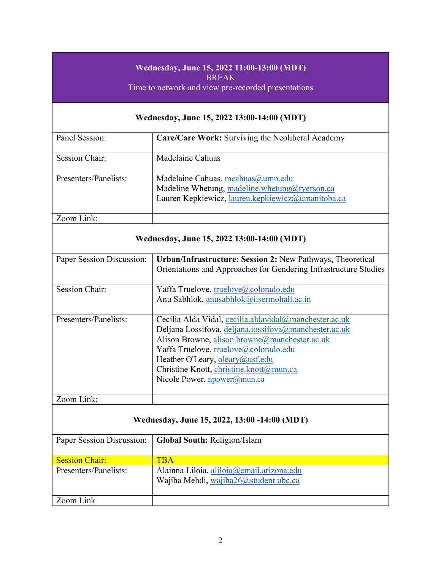# **Wednesday, June 15, 2022 11:00-13:00 (MDT)**

BREAK

Time to network and view pre-recorded presentations

### **Wednesday, June 15, 2022 13:00-14:00 (MDT)**

| Panel Session:        | Care/Care Work: Surviving the Neoliberal Academy                                                                                        |
|-----------------------|-----------------------------------------------------------------------------------------------------------------------------------------|
| Session Chair:        | Madelaine Cahuas                                                                                                                        |
| Presenters/Panelists: | Madelaine Cahuas, mcahuas@umn.edu<br>Madeline Whetung, madeline.whetung@ryerson.ca<br>Lauren Kepkiewicz, lauren.kepkiewicz@umanitoba.ca |
| Zoom Link:            |                                                                                                                                         |

### **Wednesday, June 15, 2022 13:00-14:00 (MDT)**

| Paper Session Discussion: | Urban/Infrastructure: Session 2: New Pathways, Theoretical<br>Orientations and Approaches for Gendering Infrastructure Studies |
|---------------------------|--------------------------------------------------------------------------------------------------------------------------------|
| <b>Session Chair:</b>     | Yaffa Truelove, truelove@colorado.edu                                                                                          |
|                           | Anu Sabhlok, anusabhlok@iisermohali.ac.in                                                                                      |
|                           |                                                                                                                                |
| Presenters/Panelists:     | Cecilia Alda Vidal, cecilia.aldavidal@manchester.ac.uk                                                                         |
|                           | Deljana Lossifova, deljana.iossifova@manchester.ac.uk                                                                          |
|                           | Alison Browne, alison.browne@manchester.ac.uk                                                                                  |
|                           | Yaffa Truelove, truelove@colorado.edu                                                                                          |
|                           | Heather O'Leary, oleary@usf.edu                                                                                                |
|                           | Christine Knott, christine.knott@mun.ca                                                                                        |
|                           | Nicole Power, <i>npower@mun.ca</i>                                                                                             |
|                           |                                                                                                                                |
| Zoom Link:                |                                                                                                                                |

### **Wednesday, June 15, 2022, 13:00 -14:00 (MDT)**

| Paper Session Discussion: | <b>Global South: Religion/Islam</b>       |
|---------------------------|-------------------------------------------|
|                           |                                           |
|                           |                                           |
| <b>Session Chair:</b>     | TRA                                       |
|                           |                                           |
| Presenters/Panelists:     | Alainna Liloia. aliloia@email.arizona.edu |
|                           |                                           |
|                           | Wajiha Mehdi, wajiha26@student.ubc.ca     |
|                           |                                           |
|                           |                                           |
| Zoom Link                 |                                           |
|                           |                                           |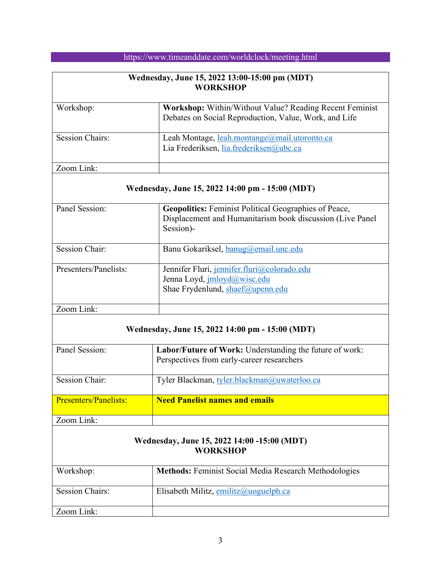| Wednesday, June 15, 2022 13:00-15:00 pm (MDT)<br><b>WORKSHOP</b> |                                                                                                                         |
|------------------------------------------------------------------|-------------------------------------------------------------------------------------------------------------------------|
| Workshop:                                                        | <b>Workshop:</b> Within/Without Value? Reading Recent Feminist<br>Debates on Social Reproduction, Value, Work, and Life |
| <b>Session Chairs:</b>                                           | Leah Montage, leah.montange@mail.utoronto.ca<br>Lia Frederiksen, lia.frederiksen@ubc.ca                                 |
| Zoom Link:                                                       |                                                                                                                         |

### **Wednesday, June 15, 2022 14:00 pm - 15:00 (MDT)**

| Panel Session:        | <b>Geopolitics:</b> Feminist Political Geographies of Peace,<br>Displacement and Humanitarism book discussion (Live Panel<br>Session)- |
|-----------------------|----------------------------------------------------------------------------------------------------------------------------------------|
| <b>Session Chair:</b> | Banu Gokariksel, banug@email.unc.edu                                                                                                   |
| Presenters/Panelists: | Jennifer Fluri, jennifer.fluri@colorado.edu<br>Jenna Loyd, jmloyd@wisc.edu<br>Shae Frydenlund, shaef@upenn.edu                         |
| Zoom Link:            |                                                                                                                                        |

### **Wednesday, June 15, 2022 14:00 pm - 15:00 (MDT)**

| Panel Session:               | <b>Labor/Future of Work:</b> Understanding the future of work: |
|------------------------------|----------------------------------------------------------------|
|                              | Perspectives from early-career researchers                     |
|                              |                                                                |
| Session Chair:               | Tyler Blackman, tyler.blackman@uwaterloo.ca                    |
|                              |                                                                |
| <b>Presenters/Panelists:</b> | <b>Need Panelist names and emails</b>                          |
|                              |                                                                |
| Zoom Link:                   |                                                                |
|                              |                                                                |

### **Wednesday, June 15, 2022 14:00 -15:00 (MDT) WORKSHOP**

| Workshop:              | <b>Methods:</b> Feminist Social Media Research Methodologies |
|------------------------|--------------------------------------------------------------|
| <b>Session Chairs:</b> | Elisabeth Militz, emilitz@uoguelph.ca                        |
| Zoom Link:             |                                                              |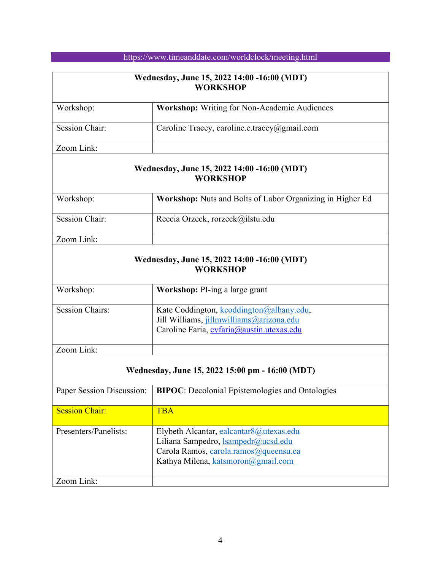| Wednesday, June 15, 2022 14:00 -16:00 (MDT)<br><b>WORKSHOP</b> |                                                                                                                                                                      |
|----------------------------------------------------------------|----------------------------------------------------------------------------------------------------------------------------------------------------------------------|
| Workshop:                                                      | Workshop: Writing for Non-Academic Audiences                                                                                                                         |
| <b>Session Chair:</b>                                          | Caroline Tracey, caroline.e.tracey@gmail.com                                                                                                                         |
| Zoom Link:                                                     |                                                                                                                                                                      |
|                                                                | Wednesday, June 15, 2022 14:00 -16:00 (MDT)<br><b>WORKSHOP</b>                                                                                                       |
| Workshop:                                                      | Workshop: Nuts and Bolts of Labor Organizing in Higher Ed                                                                                                            |
| Session Chair:                                                 | Reecia Orzeck, rorzeck@ilstu.edu                                                                                                                                     |
| Zoom Link:                                                     |                                                                                                                                                                      |
|                                                                | Wednesday, June 15, 2022 14:00 -16:00 (MDT)<br><b>WORKSHOP</b>                                                                                                       |
| Workshop:                                                      | Workshop: PI-ing a large grant                                                                                                                                       |
| <b>Session Chairs:</b>                                         | Kate Coddington, kcoddington@albany.edu,<br>Jill Williams, jillmwilliams@arizona.edu<br>Caroline Faria, cvfaria@austin.utexas.edu                                    |
| Zoom Link:                                                     |                                                                                                                                                                      |
| Wednesday, June 15, 2022 15:00 pm - 16:00 (MDT)                |                                                                                                                                                                      |
| Paper Session Discussion:                                      | <b>BIPOC:</b> Decolonial Epistemologies and Ontologies                                                                                                               |
| <b>Session Chair:</b>                                          | <b>TBA</b>                                                                                                                                                           |
| Presenters/Panelists:                                          | Elybeth Alcantar, ealcantar8@utexas.edu<br>Liliana Sampedro, <i>Isampedr@ucsd.edu</i><br>Carola Ramos, carola.ramos@queensu.ca<br>Kathya Milena, katsmoron@gmail.com |
| Zoom Link:                                                     |                                                                                                                                                                      |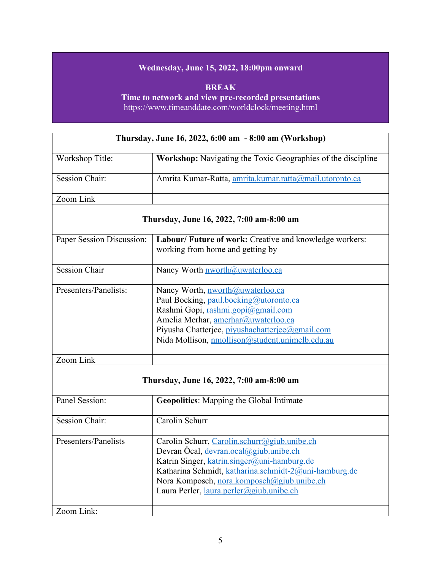### **Wednesday, June 15, 2022, 18:00pm onward**

**BREAK Time to network and view pre-recorded presentations** https://www.timeanddate.com/worldclock/meeting.html

| Thursday, June 16, 2022, 6:00 am - 8:00 am (Workshop) |                                                              |  |
|-------------------------------------------------------|--------------------------------------------------------------|--|
| Workshop Title:                                       | Workshop: Navigating the Toxic Geographies of the discipline |  |
| <b>Session Chair:</b>                                 | Amrita Kumar-Ratta, amrita.kumar.ratta@mail.utoronto.ca      |  |
| Zoom Link                                             |                                                              |  |
| Thursday, June 16, 2022, 7:00 am-8:00 am              |                                                              |  |
| Paper Session Discussion:                             | Labour/ Future of work: Creative and knowledge workers:      |  |
|                                                       | working from home and getting by                             |  |
| <b>Session Chair</b>                                  | Nancy Worth nworth@uwaterloo.ca                              |  |
| Presenters/Panelists:                                 | Nancy Worth, nworth@uwaterloo.ca                             |  |
|                                                       | Paul Bocking, paul.bocking@utoronto.ca                       |  |
|                                                       | Rashmi Gopi, rashmi.gopi@gmail.com                           |  |
|                                                       | Amelia Merhar, amerhar@uwaterloo.ca                          |  |
|                                                       | Piyusha Chatterjee, piyushachatterjee@gmail.com              |  |
|                                                       | Nida Mollison, nmollison@student.unimelb.edu.au              |  |
| Zoom Link                                             |                                                              |  |
| Thursday, June 16, 2022, 7:00 am-8:00 am              |                                                              |  |
| Panel Session:                                        | <b>Geopolitics:</b> Mapping the Global Intimate              |  |
| <b>Session Chair:</b>                                 | Carolin Schurr                                               |  |
| Presenters/Panelists                                  | Carolin Schurr, Carolin.schurr@giub.unibe.ch                 |  |
|                                                       | Devran Öcal, devran.ocal@giub.unibe.ch                       |  |
|                                                       | Katrin Singer, katrin.singer@uni-hamburg.de                  |  |
|                                                       | Katharina Schmidt, katharina.schmidt-2@uni-hamburg.de        |  |
|                                                       | Nora Komposch, nora.komposch@giub.unibe.ch                   |  |
|                                                       | Laura Perler, laura.perler@giub.unibe.ch                     |  |
| Zoom Link:                                            |                                                              |  |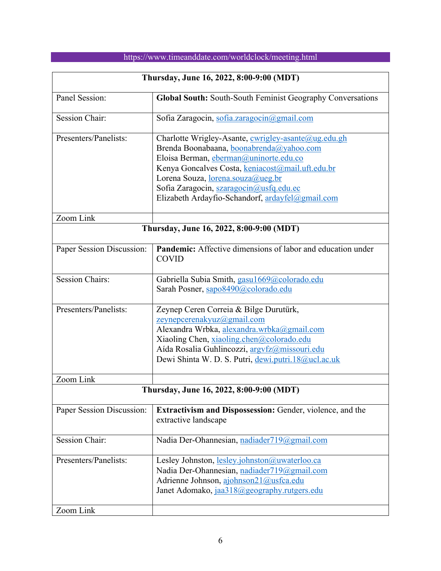| Thursday, June 16, 2022, 8:00-9:00 (MDT) |                                                                                                                                                                                                                                                                                                                                          |  |
|------------------------------------------|------------------------------------------------------------------------------------------------------------------------------------------------------------------------------------------------------------------------------------------------------------------------------------------------------------------------------------------|--|
| Panel Session:                           | Global South: South-South Feminist Geography Conversations                                                                                                                                                                                                                                                                               |  |
| <b>Session Chair:</b>                    | Sofia Zaragocin, sofia.zaragocin@gmail.com                                                                                                                                                                                                                                                                                               |  |
| Presenters/Panelists:                    | Charlotte Wrigley-Asante, cwrigley-asante@ug.edu.gh<br>Brenda Boonabaana, boonabrenda@yahoo.com<br>Eloisa Berman, eberman@uninorte.edu.co<br>Kenya Goncalves Costa, keniacost@mail.uft.edu.br<br>Lorena Souza, <u>lorena.souza@ueg.br</u><br>Sofia Zaragocin, szaragocin@usfq.edu.ec<br>Elizabeth Ardayfio-Schandorf, ardayfel@gmail.com |  |
| Zoom Link                                |                                                                                                                                                                                                                                                                                                                                          |  |
| Thursday, June 16, 2022, 8:00-9:00 (MDT) |                                                                                                                                                                                                                                                                                                                                          |  |
| Paper Session Discussion:                | Pandemic: Affective dimensions of labor and education under<br><b>COVID</b>                                                                                                                                                                                                                                                              |  |
| <b>Session Chairs:</b>                   | Gabriella Subia Smith, gasu1669@colorado.edu<br>Sarah Posner, sapo8490@colorado.edu                                                                                                                                                                                                                                                      |  |
| Presenters/Panelists:                    | Zeynep Ceren Correia & Bilge Durutürk,<br>zeynepcerenakyuz@gmail.com<br>Alexandra Wrbka, alexandra.wrbka@gmail.com<br>Xiaoling Chen, xiaoling.chen@colorado.edu<br>Aída Rosalia Guhlincozzi, argyfz@missouri.edu<br>Dewi Shinta W. D. S. Putri, dewi.putri.18@ucl.ac.uk                                                                  |  |
| Zoom Link                                |                                                                                                                                                                                                                                                                                                                                          |  |
| Thursday, June 16, 2022, 8:00-9:00 (MDT) |                                                                                                                                                                                                                                                                                                                                          |  |
| Paper Session Discussion:                | Extractivism and Dispossession: Gender, violence, and the<br>extractive landscape                                                                                                                                                                                                                                                        |  |
| <b>Session Chair:</b>                    | Nadia Der-Ohannesian, nadiader719@gmail.com                                                                                                                                                                                                                                                                                              |  |
| Presenters/Panelists:                    | Lesley Johnston, lesley.johnston@uwaterloo.ca<br>Nadia Der-Ohannesian, nadiader719@gmail.com<br>Adrienne Johnson, ajohnson21@usfca.edu<br>Janet Adomako, jaa318@geography.rutgers.edu                                                                                                                                                    |  |
| Zoom Link                                |                                                                                                                                                                                                                                                                                                                                          |  |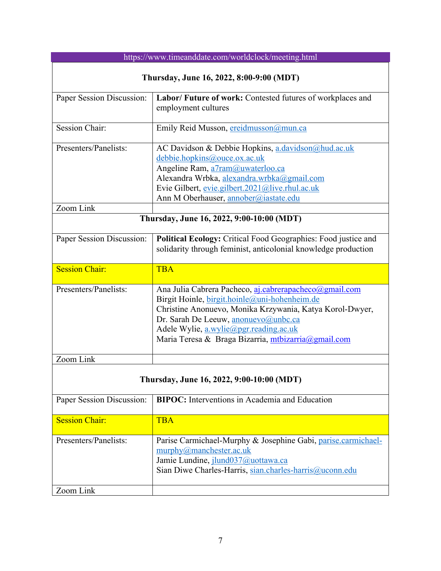| https://www.timeanddate.com/worldclock/meeting.html |                                                                                                                                                                                                                                                                                                              |  |
|-----------------------------------------------------|--------------------------------------------------------------------------------------------------------------------------------------------------------------------------------------------------------------------------------------------------------------------------------------------------------------|--|
| Thursday, June 16, 2022, 8:00-9:00 (MDT)            |                                                                                                                                                                                                                                                                                                              |  |
| Paper Session Discussion:                           | Labor/ Future of work: Contested futures of workplaces and<br>employment cultures                                                                                                                                                                                                                            |  |
| <b>Session Chair:</b>                               | Emily Reid Musson, ereidmusson@mun.ca                                                                                                                                                                                                                                                                        |  |
| Presenters/Panelists:                               | AC Davidson & Debbie Hopkins, a.davidson@hud.ac.uk<br>debbie.hopkins@ouce.ox.ac.uk<br>Angeline Ram, a7ram@uwaterloo.ca<br>Alexandra Wrbka, alexandra.wrbka@gmail.com<br>Evie Gilbert, evie.gilbert.2021@live.rhul.ac.uk<br>Ann M Oberhauser, annober@iastate.edu                                             |  |
| Zoom Link                                           |                                                                                                                                                                                                                                                                                                              |  |
| Thursday, June 16, 2022, 9:00-10:00 (MDT)           |                                                                                                                                                                                                                                                                                                              |  |
| Paper Session Discussion:                           | Political Ecology: Critical Food Geographies: Food justice and<br>solidarity through feminist, anticolonial knowledge production                                                                                                                                                                             |  |
| <b>Session Chair:</b>                               | <b>TBA</b>                                                                                                                                                                                                                                                                                                   |  |
| Presenters/Panelists:                               | Ana Julia Cabrera Pacheco, aj.cabrerapacheco@gmail.com<br>Birgit Hoinle, birgit.hoinle@uni-hohenheim.de<br>Christine Anonuevo, Monika Krzywania, Katya Korol-Dwyer,<br>Dr. Sarah De Leeuw, anonuevo@unbc.ca<br>Adele Wylie, a.wylie@pgr.reading.ac.uk<br>Maria Teresa & Braga Bizarria, mtbizarria@gmail.com |  |
| Zoom Link                                           |                                                                                                                                                                                                                                                                                                              |  |
| Thursday, June 16, 2022, 9:00-10:00 (MDT)           |                                                                                                                                                                                                                                                                                                              |  |
| Paper Session Discussion:                           | <b>BIPOC:</b> Interventions in Academia and Education                                                                                                                                                                                                                                                        |  |
| <b>Session Chair:</b>                               | <b>TBA</b>                                                                                                                                                                                                                                                                                                   |  |

| $\sim$                | .                                                                                                                                                                                         |
|-----------------------|-------------------------------------------------------------------------------------------------------------------------------------------------------------------------------------------|
| Presenters/Panelists: | Parise Carmichael-Murphy & Josephine Gabi, parise.carmichael-<br>murphy@manchester.ac.uk<br>Jamie Lundine, jlund037@uottawa.ca<br>Sian Diwe Charles-Harris, sian.charles-harris@uconn.edu |
| Zoom Link             |                                                                                                                                                                                           |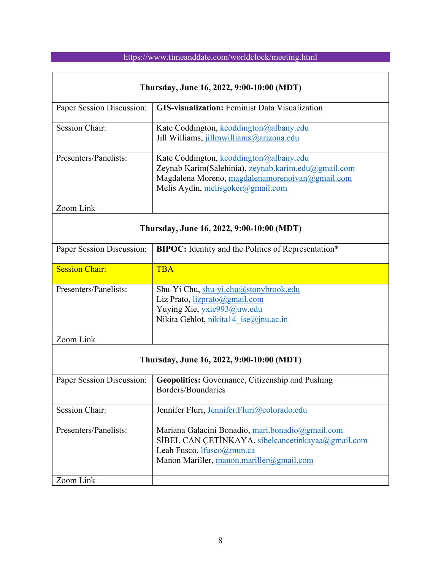| Thursday, June 16, 2022, 9:00-10:00 (MDT) |                                                                                                                                                                                        |  |
|-------------------------------------------|----------------------------------------------------------------------------------------------------------------------------------------------------------------------------------------|--|
| Paper Session Discussion:                 | <b>GIS-visualization:</b> Feminist Data Visualization                                                                                                                                  |  |
| <b>Session Chair:</b>                     | Kate Coddington, kcoddington@albany.edu<br>Jill Williams, jillmwilliams@arizona.edu                                                                                                    |  |
| Presenters/Panelists:                     | Kate Coddington, kcoddington@albany.edu<br>Zeynab Karim(Salehinia), zeynab.karim.edu@gmail.com<br>Magdalena Moreno, magdalenamorenoivan@gmail.com<br>Melis Aydin, melisgoker@gmail.com |  |
| Zoom Link                                 |                                                                                                                                                                                        |  |
| Thursday, June 16, 2022, 9:00-10:00 (MDT) |                                                                                                                                                                                        |  |
| Paper Session Discussion:                 | BIPOC: Identity and the Politics of Representation*                                                                                                                                    |  |
| <b>Session Chair:</b>                     | <b>TBA</b>                                                                                                                                                                             |  |
| Presenters/Panelists:                     | Shu-Yi Chu, shu-yi.chu@stonybrook.edu<br>Liz Prato, lizprato@gmail.com<br>Yuying Xie, yxie993@uw.edu<br>Nikita Gehlot, nikita14 ise@jnu.ac.in                                          |  |
| Zoom Link                                 |                                                                                                                                                                                        |  |
| Thursday, June 16, 2022, 9:00-10:00 (MDT) |                                                                                                                                                                                        |  |
| Paper Session Discussion:                 | <b>Geopolitics:</b> Governance, Citizenship and Pushing<br>Borders/Boundaries                                                                                                          |  |
| <b>Session Chair:</b>                     | Jennifer Fluri, Jennifer.Fluri@colorado.edu                                                                                                                                            |  |
| Presenters/Panelists:                     | Mariana Galacini Bonadio, mari.bonadio@gmail.com<br>SİBEL CAN ÇETİNKAYA, sibelcancetinkayaa@gmail.com<br>Leah Fusco, lfusco@mun.ca<br>Manon Mariller, manon.mariller@gmail.com         |  |
| Zoom Link                                 |                                                                                                                                                                                        |  |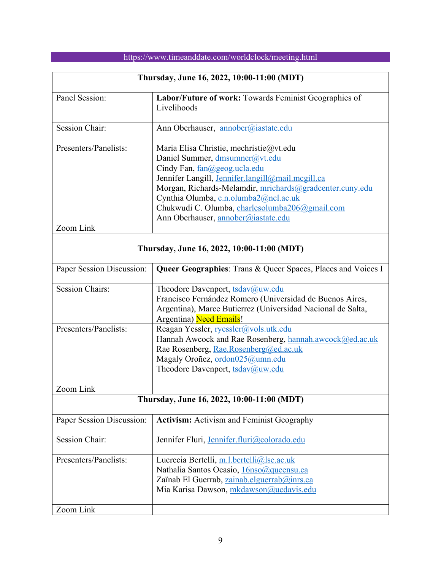| Thursday, June 16, 2022, 10:00-11:00 (MDT) |                                                                                                                                                                                                                                                                                                                                                              |  |
|--------------------------------------------|--------------------------------------------------------------------------------------------------------------------------------------------------------------------------------------------------------------------------------------------------------------------------------------------------------------------------------------------------------------|--|
| Panel Session:                             | Labor/Future of work: Towards Feminist Geographies of<br>Livelihoods                                                                                                                                                                                                                                                                                         |  |
| <b>Session Chair:</b>                      | Ann Oberhauser, annober@iastate.edu                                                                                                                                                                                                                                                                                                                          |  |
| Presenters/Panelists:                      | Maria Elisa Christie, mechristie@vt.edu<br>Daniel Summer, dmsumner@vt.edu<br>Cindy Fan, fan@geog.ucla.edu<br>Jennifer Langill, Jennifer.langill@mail.mcgill.ca<br>Morgan, Richards-Melamdir, mrichards@gradcenter.cuny.edu<br>Cynthia Olumba, c.n.olumba2@ncl.ac.uk<br>Chukwudi C. Olumba, charlesolumba206@gmail.com<br>Ann Oberhauser, annober@iastate.edu |  |
| Zoom Link                                  |                                                                                                                                                                                                                                                                                                                                                              |  |
| Thursday, June 16, 2022, 10:00-11:00 (MDT) |                                                                                                                                                                                                                                                                                                                                                              |  |
| Paper Session Discussion:                  | Queer Geographies: Trans & Queer Spaces, Places and Voices I                                                                                                                                                                                                                                                                                                 |  |
| <b>Session Chairs:</b>                     | Theodore Davenport, tsdav@uw.edu<br>Francisco Fernández Romero (Universidad de Buenos Aires,<br>Argentina), Marce Butierrez (Universidad Nacional de Salta,<br>Argentina) Need Emails!                                                                                                                                                                       |  |
| Presenters/Panelists:                      | Reagan Yessler, ryessler@vols.utk.edu<br>Hannah Awcock and Rae Rosenberg, hannah.awcock@ed.ac.uk<br>Rae Rosenberg, Rae.Rosenberg@ed.ac.uk<br>Magaly Oroñez, ordon025@umn.edu<br>Theodore Davenport, tsdav@uw.edu                                                                                                                                             |  |
| Zoom Link                                  |                                                                                                                                                                                                                                                                                                                                                              |  |
| Thursday, June 16, 2022, 10:00-11:00 (MDT) |                                                                                                                                                                                                                                                                                                                                                              |  |
| Paper Session Discussion:                  | Activism: Activism and Feminist Geography                                                                                                                                                                                                                                                                                                                    |  |
| <b>Session Chair:</b>                      | Jennifer Fluri, Jennifer.fluri@colorado.edu                                                                                                                                                                                                                                                                                                                  |  |
| Presenters/Panelists:                      | Lucrecia Bertelli, m.l.bertelli@lse.ac.uk<br>Nathalia Santos Ocasio, 16nso@queensu.ca<br>Zaïnab El Guerrab, zainab.elguerrab@inrs.ca<br>Mia Karisa Dawson, mkdawson@ucdavis.edu                                                                                                                                                                              |  |
| Zoom Link                                  |                                                                                                                                                                                                                                                                                                                                                              |  |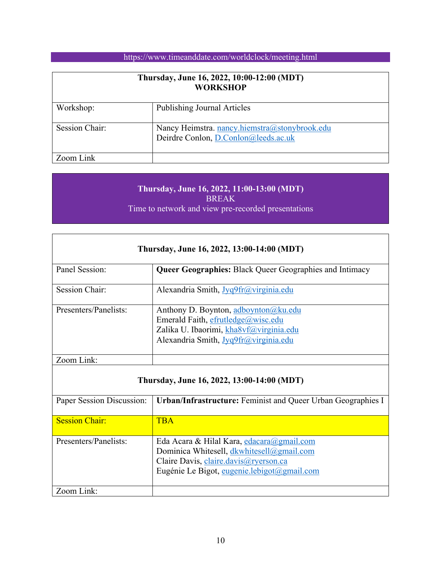| Thursday, June 16, 2022, 10:00-12:00 (MDT)<br><b>WORKSHOP</b> |                                                                                       |
|---------------------------------------------------------------|---------------------------------------------------------------------------------------|
| Workshop:                                                     | <b>Publishing Journal Articles</b>                                                    |
| Session Chair:                                                | Nancy Heimstra. nancy.hiemstra@stonybrook.edu<br>Deirdre Conlon, D.Conlon@leeds.ac.uk |
| Zoom Link                                                     |                                                                                       |

### **Thursday, June 16, 2022, 11:00-13:00 (MDT)** BREAK Time to network and view pre-recorded presentations

| Thursday, June 16, 2022, 13:00-14:00 (MDT) |                                                                                                                                                                |  |
|--------------------------------------------|----------------------------------------------------------------------------------------------------------------------------------------------------------------|--|
| Panel Session:                             | <b>Queer Geographies: Black Queer Geographies and Intimacy</b>                                                                                                 |  |
| <b>Session Chair:</b>                      | Alexandria Smith, Jyq9fr@virginia.edu                                                                                                                          |  |
| Presenters/Panelists:                      | Anthony D. Boynton, adboynton@ku.edu<br>Emerald Faith, efrutledge@wisc.edu<br>Zalika U. Ibaorimi, kha8vf@virginia.edu<br>Alexandria Smith, Jyq9fr@virginia.edu |  |
| Zoom Link:                                 |                                                                                                                                                                |  |

### **Thursday, June 16, 2022, 13:00-14:00 (MDT)**

| Paper Session Discussion: | <b>Urban/Infrastructure:</b> Feminist and Queer Urban Geographies I                                                                                                            |
|---------------------------|--------------------------------------------------------------------------------------------------------------------------------------------------------------------------------|
| <b>Session Chair:</b>     | TBA                                                                                                                                                                            |
| Presenters/Panelists:     | Eda Acara & Hilal Kara, edacara@gmail.com<br>Dominica Whitesell, dkwhitesell@gmail.com<br>Claire Davis, claire.davis@ryerson.ca<br>Eugénie Le Bigot, eugenie.lebigot@gmail.com |
| Zoom Link:                |                                                                                                                                                                                |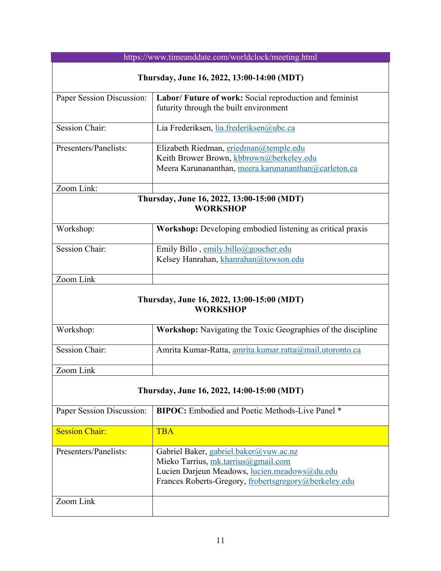| https://www.timeanddate.com/worldclock/meeting.html           |                                                                                                                                                                                         |  |
|---------------------------------------------------------------|-----------------------------------------------------------------------------------------------------------------------------------------------------------------------------------------|--|
| Thursday, June 16, 2022, 13:00-14:00 (MDT)                    |                                                                                                                                                                                         |  |
| Paper Session Discussion:                                     | Labor/ Future of work: Social reproduction and feminist<br>futurity through the built environment                                                                                       |  |
| <b>Session Chair:</b>                                         | Lia Frederiksen, lia.frederiksen@ubc.ca                                                                                                                                                 |  |
| Presenters/Panelists:                                         | Elizabeth Riedman, eriedman@temple.edu<br>Keith Brower Brown, kbbrown@berkeley.edu<br>Meera Karunananthan, meera.karunananthan@carleton.ca                                              |  |
| Zoom Link:                                                    |                                                                                                                                                                                         |  |
| Thursday, June 16, 2022, 13:00-15:00 (MDT)<br><b>WORKSHOP</b> |                                                                                                                                                                                         |  |
| Workshop:                                                     | Workshop: Developing embodied listening as critical praxis                                                                                                                              |  |
| <b>Session Chair:</b>                                         | Emily Billo, emily.billo@goucher.edu<br>Kelsey Hanrahan, khanrahan@towson.edu                                                                                                           |  |
| Zoom Link                                                     |                                                                                                                                                                                         |  |
| Thursday, June 16, 2022, 13:00-15:00 (MDT)<br><b>WORKSHOP</b> |                                                                                                                                                                                         |  |
| Workshop:                                                     | <b>Workshop:</b> Navigating the Toxic Geographies of the discipline                                                                                                                     |  |
| <b>Session Chair:</b>                                         | Amrita Kumar-Ratta, amrita.kumar.ratta@mail.utoronto.ca                                                                                                                                 |  |
| Zoom Link                                                     |                                                                                                                                                                                         |  |
| Thursday, June 16, 2022, 14:00-15:00 (MDT)                    |                                                                                                                                                                                         |  |
| Paper Session Discussion:                                     | <b>BIPOC:</b> Embodied and Poetic Methods-Live Panel *                                                                                                                                  |  |
| <b>Session Chair:</b>                                         | <b>TBA</b>                                                                                                                                                                              |  |
| Presenters/Panelists:                                         | Gabriel Baker, gabriel.baker@vuw.ac.nz<br>Mieko Tarrius, mk.tarrius@gmail.com<br>Lucien Darjeun Meadows, lucien.meadows@du.edu<br>Frances Roberts-Gregory, frobertsgregory@berkeley.edu |  |
| Zoom Link                                                     |                                                                                                                                                                                         |  |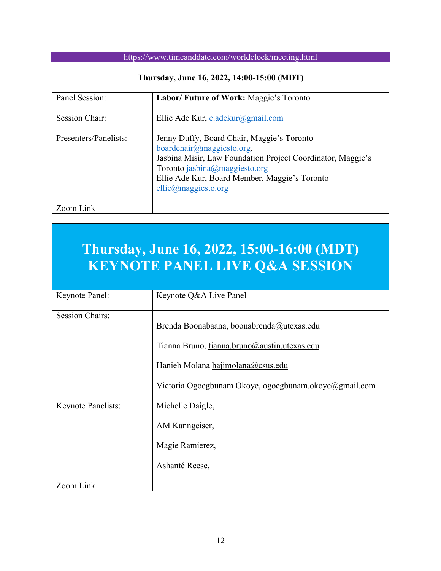| Thursday, June 16, 2022, 14:00-15:00 (MDT) |                                                                                                                                                                                                                                                           |
|--------------------------------------------|-----------------------------------------------------------------------------------------------------------------------------------------------------------------------------------------------------------------------------------------------------------|
| Panel Session:                             | Labor/ Future of Work: Maggie's Toronto                                                                                                                                                                                                                   |
| <b>Session Chair:</b>                      | Ellie Ade Kur, e.adekur@gmail.com                                                                                                                                                                                                                         |
| Presenters/Panelists:                      | Jenny Duffy, Board Chair, Maggie's Toronto<br>boardchair@maggiesto.org,<br>Jasbina Misir, Law Foundation Project Coordinator, Maggie's<br>Toronto jasbina@maggiesto.org<br>Ellie Ade Kur, Board Member, Maggie's Toronto<br>$ellie(\omega)$ maggiesto.org |
| Zoom Link                                  |                                                                                                                                                                                                                                                           |

# **Thursday, June 16, 2022, 15:00-16:00 (MDT) KEYNOTE PANEL LIVE Q&A SESSION**

| Keynote Panel:         | Keynote Q&A Live Panel                                                                                                                                                                  |
|------------------------|-----------------------------------------------------------------------------------------------------------------------------------------------------------------------------------------|
| <b>Session Chairs:</b> | Brenda Boonabaana, boonabrenda@utexas.edu<br>Tianna Bruno, tianna.bruno@austin.utexas.edu<br>Hanieh Molana hajimolana@csus.edu<br>Victoria Ogoegbunam Okoye, ogoegbunam.okoye@gmail.com |
| Keynote Panelists:     | Michelle Daigle,<br>AM Kanngeiser,<br>Magie Ramierez,<br>Ashanté Reese,                                                                                                                 |
| Zoom Link              |                                                                                                                                                                                         |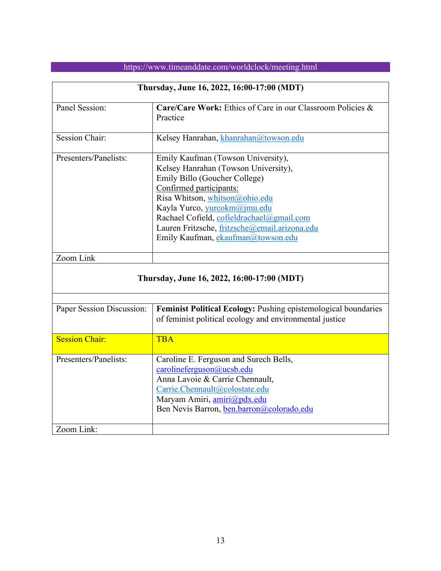|                                            | Thursday, June 16, 2022, 16:00-17:00 (MDT)                                                                                                                                                                                                                                                                                                   |  |
|--------------------------------------------|----------------------------------------------------------------------------------------------------------------------------------------------------------------------------------------------------------------------------------------------------------------------------------------------------------------------------------------------|--|
| Panel Session:                             | Care/Care Work: Ethics of Care in our Classroom Policies &<br>Practice                                                                                                                                                                                                                                                                       |  |
| <b>Session Chair:</b>                      | Kelsey Hanrahan, khanrahan@towson.edu                                                                                                                                                                                                                                                                                                        |  |
| Presenters/Panelists:                      | Emily Kaufman (Towson University),<br>Kelsey Hanrahan (Towson University),<br>Emily Billo (Goucher College)<br>Confirmed participants:<br>Risa Whitson, whitson@ohio.edu<br>Kayla Yurco, yurcokm@jmu.edu<br>Rachael Cofield, cofieldrachael@gmail.com<br>Lauren Fritzsche, fritzsche@email.arizona.edu<br>Emily Kaufman, ekaufman@towson.edu |  |
| Zoom Link                                  |                                                                                                                                                                                                                                                                                                                                              |  |
| Thursday, June 16, 2022, 16:00-17:00 (MDT) |                                                                                                                                                                                                                                                                                                                                              |  |
|                                            |                                                                                                                                                                                                                                                                                                                                              |  |
| Paper Session Discussion:                  | Feminist Political Ecology: Pushing epistemological boundaries<br>of feminist political ecology and environmental justice                                                                                                                                                                                                                    |  |
| <b>Session Chair:</b>                      | <b>TBA</b>                                                                                                                                                                                                                                                                                                                                   |  |
| Presenters/Panelists:                      | Caroline E. Ferguson and Surech Bells,<br>carolineferguson@ucsb.edu<br>Anna Lavoie & Carrie Chennault,<br>Carrie.Chennault@colostate.edu<br>Maryam Amiri, amiri@pdx.edu<br>Ben Nevis Barron, ben.barron@colorado.edu                                                                                                                         |  |
| Zoom Link:                                 |                                                                                                                                                                                                                                                                                                                                              |  |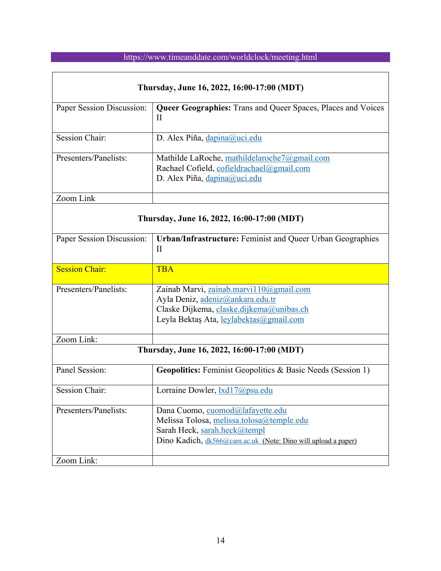| Thursday, June 16, 2022, 16:00-17:00 (MDT) |                                                                                                                                                                                |  |
|--------------------------------------------|--------------------------------------------------------------------------------------------------------------------------------------------------------------------------------|--|
| Paper Session Discussion:                  | <b>Queer Geographies:</b> Trans and Queer Spaces, Places and Voices<br>$\mathbf{I}$                                                                                            |  |
| <b>Session Chair:</b>                      | D. Alex Piña, dapina@uci.edu                                                                                                                                                   |  |
| Presenters/Panelists:                      | Mathilde LaRoche, mathildelaroche7@gmail.com<br>Rachael Cofield, cofieldrachael@gmail.com<br>D. Alex Piña, dapina@uci.edu                                                      |  |
| Zoom Link                                  |                                                                                                                                                                                |  |
| Thursday, June 16, 2022, 16:00-17:00 (MDT) |                                                                                                                                                                                |  |
| Paper Session Discussion:                  | <b>Urban/Infrastructure: Feminist and Queer Urban Geographies</b><br>$\mathbf{I}$                                                                                              |  |
| <b>Session Chair:</b>                      | <b>TBA</b>                                                                                                                                                                     |  |
| Presenters/Panelists:                      | Zainab Marvi, zainab.marvi110@gmail.com<br>Ayla Deniz, adeniz@ankara.edu.tr<br>Claske Dijkema, claske.dijkema@unibas.ch<br>Leyla Bektaş Ata, leylabektas@gmail.com             |  |
| Zoom Link:                                 |                                                                                                                                                                                |  |
| Thursday, June 16, 2022, 16:00-17:00 (MDT) |                                                                                                                                                                                |  |
| Panel Session:                             | <b>Geopolitics:</b> Feminist Geopolitics & Basic Needs (Session 1)                                                                                                             |  |
| <b>Session Chair:</b>                      | Lorraine Dowler, <b>1xd17@psu.edu</b>                                                                                                                                          |  |
| Presenters/Panelists:                      | Dana Cuomo, cuomod@lafayette.edu<br>Melissa Tolosa, melissa.tolosa@temple.edu<br>Sarah Heck, sarah.heck@templ<br>Dino Kadich, dk566@cam.ac.uk (Note: Dino will upload a paper) |  |
| Zoom Link:                                 |                                                                                                                                                                                |  |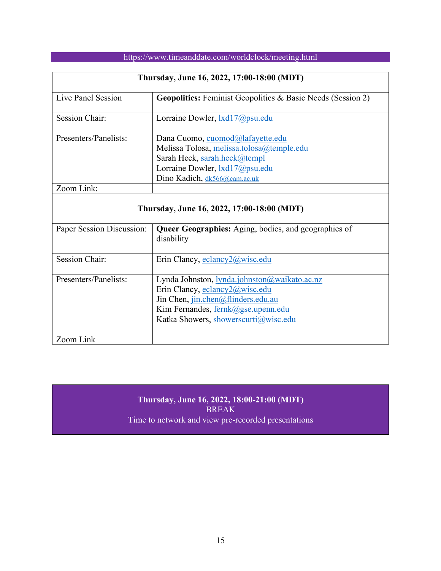| Thursday, June 16, 2022, 17:00-18:00 (MDT)               |                                                                                                                                                                                          |  |
|----------------------------------------------------------|------------------------------------------------------------------------------------------------------------------------------------------------------------------------------------------|--|
| Live Panel Session                                       | <b>Geopolitics:</b> Feminist Geopolitics & Basic Needs (Session 2)                                                                                                                       |  |
| <b>Session Chair:</b>                                    | Lorraine Dowler, <b>1xd17@psu.edu</b>                                                                                                                                                    |  |
| Presenters/Panelists:                                    | Dana Cuomo, cuomod@lafayette.edu<br>Melissa Tolosa, melissa.tolosa@temple.edu<br>Sarah Heck, sarah.heck@templ<br>Lorraine Dowler, <b>[xd17@psu.edu</b> ]<br>Dino Kadich, dk566@cam.ac.uk |  |
| Zoom Link:<br>Thursday, June 16, 2022, 17:00-18:00 (MDT) |                                                                                                                                                                                          |  |
|                                                          |                                                                                                                                                                                          |  |
| Paper Session Discussion:                                | <b>Queer Geographies:</b> Aging, bodies, and geographies of<br>disability                                                                                                                |  |
| <b>Session Chair:</b>                                    | Erin Clancy, eclancy2@wisc.edu                                                                                                                                                           |  |
| Presenters/Panelists:                                    | Lynda Johnston, lynda.johnston@waikato.ac.nz<br>Erin Clancy, eclancy2@wisc.edu                                                                                                           |  |

### **Thursday, June 16, 2022, 18:00-21:00 (MDT)** BREAK Time to network and view pre-recorded presentations

Jin Chen, jin.chen@flinders.edu.au Kim Fernandes, fernk@gse.upenn.edu Katka Showers, showerscurti@wisc.edu

Zoom Link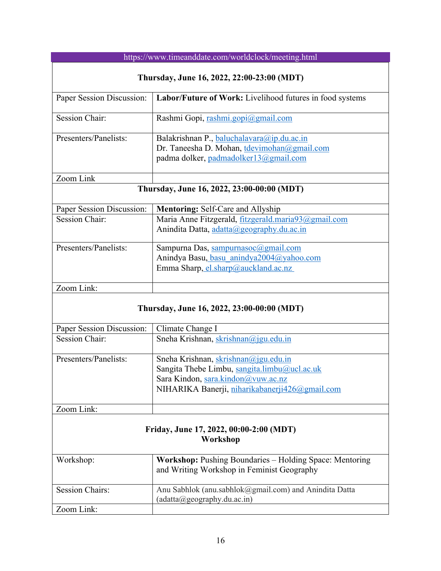| https://www.timeanddate.com/worldclock/meeting.html |                                                                                                                                    |  |
|-----------------------------------------------------|------------------------------------------------------------------------------------------------------------------------------------|--|
| Thursday, June 16, 2022, 22:00-23:00 (MDT)          |                                                                                                                                    |  |
| Paper Session Discussion:                           | Labor/Future of Work: Livelihood futures in food systems                                                                           |  |
| <b>Session Chair:</b>                               | Rashmi Gopi, rashmi.gopi@gmail.com                                                                                                 |  |
| Presenters/Panelists:                               | Balakrishnan P., baluchalavara@ip.du.ac.in<br>Dr. Taneesha D. Mohan, tdevimohan@gmail.com<br>padma dolker, padmadolker13@gmail.com |  |
| Zoom Link                                           |                                                                                                                                    |  |
|                                                     | Thursday, June 16, 2022, 23:00-00:00 (MDT)                                                                                         |  |
| Paper Session Discussion:                           | Mentoring: Self-Care and Allyship                                                                                                  |  |
| <b>Session Chair:</b>                               | Maria Anne Fitzgerald, fitzgerald.maria93@gmail.com                                                                                |  |
|                                                     | Anindita Datta, adatta@geography.du.ac.in                                                                                          |  |
| Presenters/Panelists:                               | Sampurna Das, sampurnasoc@gmail.com                                                                                                |  |
|                                                     | Anindya Basu, basu anindya2004@yahoo.com                                                                                           |  |
|                                                     | Emma Sharp, el.sharp@auckland.ac.nz                                                                                                |  |
| Zoom Link:                                          |                                                                                                                                    |  |
|                                                     | Thursday, June 16, 2022, 23:00-00:00 (MDT)                                                                                         |  |
| Paper Session Discussion:                           | Climate Change I                                                                                                                   |  |
| <b>Session Chair:</b>                               | Sneha Krishnan, skrishnan@jgu.edu.in                                                                                               |  |
| Presenters/Panelists:                               | Sneha Krishnan, skrishnan@jgu.edu.in                                                                                               |  |
|                                                     | Sangita Thebe Limbu, sangita.limbu@ucl.ac.uk                                                                                       |  |
|                                                     | Sara Kindon, sara.kindon@vuw.ac.nz                                                                                                 |  |
|                                                     | NIHARIKA Banerji, niharikabanerji426@gmail.com                                                                                     |  |
| Zoom Link:                                          |                                                                                                                                    |  |
|                                                     |                                                                                                                                    |  |
| Friday, June 17, 2022, 00:00-2:00 (MDT)<br>Workshop |                                                                                                                                    |  |
| Workshop:                                           | Workshop: Pushing Boundaries - Holding Space: Mentoring<br>and Writing Workshop in Feminist Geography                              |  |
| <b>Session Chairs:</b>                              | Anu Sabhlok (anu.sabhlok@gmail.com) and Anindita Datta<br>$(adatta(\omega)geography.du.ac.in)$                                     |  |
| Zoom Link:                                          |                                                                                                                                    |  |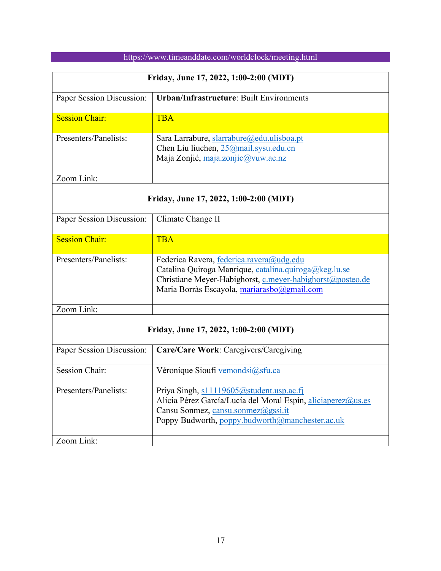| Friday, June 17, 2022, 1:00-2:00 (MDT) |                                                                                                                          |  |
|----------------------------------------|--------------------------------------------------------------------------------------------------------------------------|--|
| Paper Session Discussion:              | <b>Urban/Infrastructure: Built Environments</b>                                                                          |  |
| <b>Session Chair:</b>                  | <b>TBA</b>                                                                                                               |  |
| Presenters/Panelists:                  | Sara Larrabure, slarrabure@edu.ulisboa.pt<br>Chen Liu liuchen, 25@mail.sysu.edu.cn<br>Maja Zonjić, maja.zonjic@vuw.ac.nz |  |
| Zoom Link:                             |                                                                                                                          |  |

## **Friday, June 17, 2022, 1:00-2:00 (MDT)**

| Paper Session Discussion: | Climate Change II                                                                                                                                                                                             |
|---------------------------|---------------------------------------------------------------------------------------------------------------------------------------------------------------------------------------------------------------|
| <b>Session Chair:</b>     | <b>TBA</b>                                                                                                                                                                                                    |
| Presenters/Panelists:     | Federica Ravera, federica.ravera@udg.edu<br>Catalina Quiroga Manrique, catalina.quiroga@keg.lu.se<br>Christiane Meyer-Habighorst, c.meyer-habighorst@posteo.de<br>Maria Borràs Escayola, mariarasbo@gmail.com |
| Zoom Link:                |                                                                                                                                                                                                               |

## **Friday, June 17, 2022, 1:00-2:00 (MDT)**

| Paper Session Discussion: | Care/Care Work: Caregivers/Caregiving                                                                                                                                                             |
|---------------------------|---------------------------------------------------------------------------------------------------------------------------------------------------------------------------------------------------|
| Session Chair:            | Véronique Sioufi vemondsi@sfu.ca                                                                                                                                                                  |
| Presenters/Panelists:     | Priya Singh, s11119605@student.usp.ac.fj<br>Alicia Pérez García/Lucía del Moral Espín, aliciaperez@us.es<br>Cansu Sonmez, cansu.sonmez@gssi.it<br>Poppy Budworth, poppy.budworth@manchester.ac.uk |
| Zoom Link:                |                                                                                                                                                                                                   |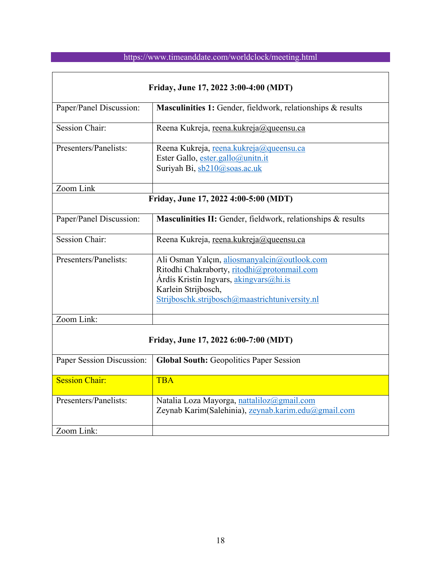| Friday, June 17, 2022 3:00-4:00 (MDT) |                                                                                                                                                                                                                |  |
|---------------------------------------|----------------------------------------------------------------------------------------------------------------------------------------------------------------------------------------------------------------|--|
| Paper/Panel Discussion:               | Masculinities 1: Gender, fieldwork, relationships & results                                                                                                                                                    |  |
| <b>Session Chair:</b>                 | Reena Kukreja, reena.kukreja@queensu.ca                                                                                                                                                                        |  |
| Presenters/Panelists:                 | Reena Kukreja, reena.kukreja@queensu.ca<br>Ester Gallo, ester.gallo@unitn.it<br>Suriyah Bi, sb210@soas.ac.uk                                                                                                   |  |
| Zoom Link                             |                                                                                                                                                                                                                |  |
| Friday, June 17, 2022 4:00-5:00 (MDT) |                                                                                                                                                                                                                |  |
| Paper/Panel Discussion:               | Masculinities II: Gender, fieldwork, relationships & results                                                                                                                                                   |  |
| <b>Session Chair:</b>                 | Reena Kukreja, reena.kukreja@queensu.ca                                                                                                                                                                        |  |
| Presenters/Panelists:                 | Ali Osman Yalçın, aliosmanyalcin@outlook.com<br>Ritodhi Chakraborty, ritodhi@protonmail.com<br>Árdís Kristín Ingvars, akingvars@hi.is<br>Karlein Strijbosch,<br>Strijboschk.strijbosch@maastrichtuniversity.nl |  |
| Zoom Link:                            |                                                                                                                                                                                                                |  |
| Friday, June 17, 2022 6:00-7:00 (MDT) |                                                                                                                                                                                                                |  |
| Paper Session Discussion:             | <b>Global South: Geopolitics Paper Session</b>                                                                                                                                                                 |  |
| <b>Session Chair:</b>                 | <b>TBA</b>                                                                                                                                                                                                     |  |
| Presenters/Panelists:                 | Natalia Loza Mayorga, nattaliloz@gmail.com<br>Zeynab Karim(Salehinia), zeynab.karim.edu@gmail.com                                                                                                              |  |
| Zoom Link:                            |                                                                                                                                                                                                                |  |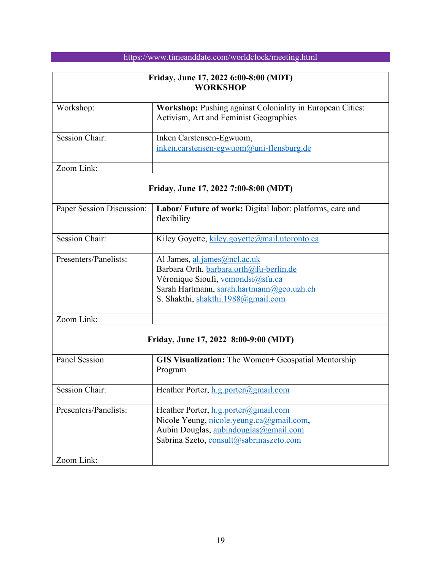| Friday, June 17, 2022 6:00-8:00 (MDT)<br><b>WORKSHOP</b> |                                                                                                     |
|----------------------------------------------------------|-----------------------------------------------------------------------------------------------------|
| Workshop:                                                | Workshop: Pushing against Coloniality in European Cities:<br>Activism, Art and Feminist Geographies |
| Session Chair:                                           | Inken Carstensen-Egwuom,<br>$inken. carstensen-egwuom@uni-flensburg.de$                             |
| Zoom Link:                                               |                                                                                                     |

# **Friday, June 17, 2022 7:00-8:00 (MDT)**

| Paper Session Discussion: | Labor/ Future of work: Digital labor: platforms, care and<br>flexibility |
|---------------------------|--------------------------------------------------------------------------|
| <b>Session Chair:</b>     | Kiley Goyette, kiley.goyette@mail.utoronto.ca                            |
| Presenters/Panelists:     | Al James, al.james@ncl.ac.uk                                             |
|                           | Barbara Orth, barbara.orth@fu-berlin.de                                  |
|                           | Véronique Sioufi, vemondsi@sfu.ca                                        |
|                           | Sarah Hartmann, sarah.hartmann@geo.uzh.ch                                |
|                           | S. Shakthi, shakthi.1988@gmail.com                                       |
| Zoom Link:                |                                                                          |
|                           | Friday, June 17, 2022 8:00-9:00 (MDT)                                    |
| <b>Panel Session</b>      | GIS Visualization: The Women+ Geospatial Mentorship                      |
|                           | Program                                                                  |
| <b>Session Chair:</b>     | Heather Porter, $h.g.$ porter@gmail.com                                  |
| Presenters/Panelists:     | Heather Porter, h.g.porter@gmail.com                                     |
|                           | Nicole Yeung, nicole.yeung.ca@gmail.com,                                 |
|                           | Aubin Douglas, aubindouglas@gmail.com                                    |
|                           | Sabrina Szeto, consult@sabrinaszeto.com                                  |

Zoom Link: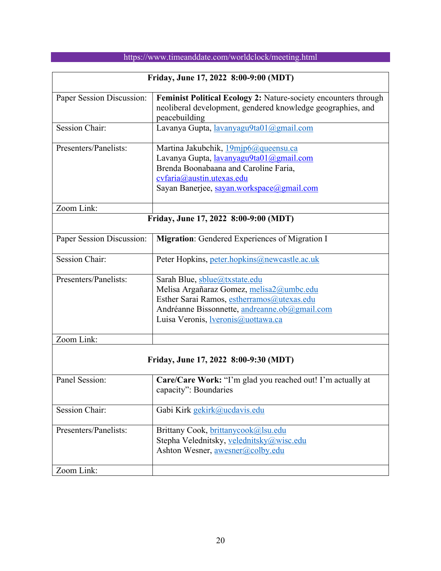|                                       | Friday, June 17, 2022 8:00-9:00 (MDT)                                                                                                                                                                                |  |  |
|---------------------------------------|----------------------------------------------------------------------------------------------------------------------------------------------------------------------------------------------------------------------|--|--|
| Paper Session Discussion:             | Feminist Political Ecology 2: Nature-society encounters through<br>neoliberal development, gendered knowledge geographies, and<br>peacebuilding                                                                      |  |  |
| <b>Session Chair:</b>                 | Lavanya Gupta, lavanyagu9ta01@gmail.com                                                                                                                                                                              |  |  |
| Presenters/Panelists:                 | Martina Jakubchik, 19mjp6@queensu.ca<br>Lavanya Gupta, lavanyagu9ta01@gmail.com<br>Brenda Boonabaana and Caroline Faria,<br>cvfaria@austin.utexas.edu<br>Sayan Banerjee, sayan.workspace@gmail.com                   |  |  |
| Zoom Link:                            |                                                                                                                                                                                                                      |  |  |
|                                       | Friday, June 17, 2022 8:00-9:00 (MDT)                                                                                                                                                                                |  |  |
| Paper Session Discussion:             | <b>Migration:</b> Gendered Experiences of Migration I                                                                                                                                                                |  |  |
| <b>Session Chair:</b>                 | Peter Hopkins, peter.hopkins@newcastle.ac.uk                                                                                                                                                                         |  |  |
| Presenters/Panelists:                 | Sarah Blue, sblue@txstate.edu<br>Melisa Argañaraz Gomez, melisa2@umbc.edu<br>Esther Sarai Ramos, estherramos@utexas.edu<br>Andréanne Bissonnette, andreanne.ob@gmail.com<br>Luisa Veronis, <i>veronis@uottawa.ca</i> |  |  |
| Zoom Link:                            |                                                                                                                                                                                                                      |  |  |
| Friday, June 17, 2022 8:00-9:30 (MDT) |                                                                                                                                                                                                                      |  |  |
| Panel Session:                        | Care/Care Work: "I'm glad you reached out! I'm actually at<br>capacity": Boundaries                                                                                                                                  |  |  |
| <b>Session Chair:</b>                 | Gabi Kirk gekirk@ucdavis.edu                                                                                                                                                                                         |  |  |
| Presenters/Panelists:                 | Brittany Cook, brittanycook@lsu.edu<br>Stepha Velednitsky, velednitsky@wisc.edu<br>Ashton Wesner, awesner@colby.edu                                                                                                  |  |  |
| Zoom Link:                            |                                                                                                                                                                                                                      |  |  |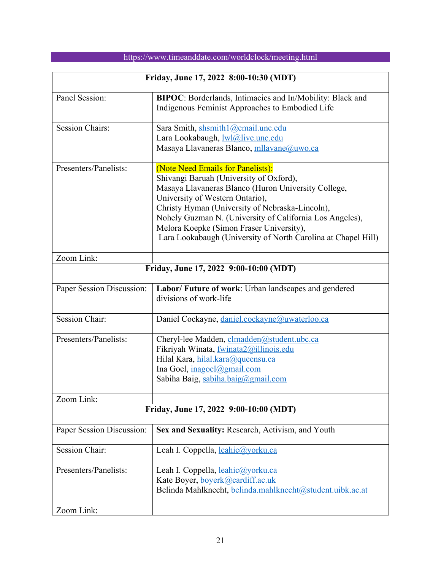| Friday, June 17, 2022 8:00-10:30 (MDT) |                                                                                                                                                                                                                                                                                                                                                                                                    |  |
|----------------------------------------|----------------------------------------------------------------------------------------------------------------------------------------------------------------------------------------------------------------------------------------------------------------------------------------------------------------------------------------------------------------------------------------------------|--|
| Panel Session:                         | BIPOC: Borderlands, Intimacies and In/Mobility: Black and<br>Indigenous Feminist Approaches to Embodied Life                                                                                                                                                                                                                                                                                       |  |
| <b>Session Chairs:</b>                 | Sara Smith, shsmith1@email.unc.edu<br>Lara Lookabaugh, lwl@live.unc.edu<br>Masaya Llavaneras Blanco, mllavane@uwo.ca                                                                                                                                                                                                                                                                               |  |
| Presenters/Panelists:                  | (Note Need Emails for Panelists):<br>Shivangi Baruah (University of Oxford),<br>Masaya Llavaneras Blanco (Huron University College,<br>University of Western Ontario),<br>Christy Hyman (University of Nebraska-Lincoln),<br>Nohely Guzman N. (University of California Los Angeles),<br>Melora Koepke (Simon Fraser University),<br>Lara Lookabaugh (University of North Carolina at Chapel Hill) |  |
| Zoom Link:                             |                                                                                                                                                                                                                                                                                                                                                                                                    |  |
|                                        | Friday, June 17, 2022 9:00-10:00 (MDT)                                                                                                                                                                                                                                                                                                                                                             |  |
| Paper Session Discussion:              | Labor/ Future of work: Urban landscapes and gendered<br>divisions of work-life                                                                                                                                                                                                                                                                                                                     |  |
| <b>Session Chair:</b>                  | Daniel Cockayne, daniel.cockayne@uwaterloo.ca                                                                                                                                                                                                                                                                                                                                                      |  |
| Presenters/Panelists:                  | Cheryl-lee Madden, clmadden@student.ubc.ca<br>Fikriyah Winata, fwinata2@illinois.edu<br>Hilal Kara, hilal.kara@queensu.ca<br>Ina Goel, inagoel@gmail.com<br>Sabiha Baig, sabiha.baig@gmail.com                                                                                                                                                                                                     |  |
| Zoom Link:                             |                                                                                                                                                                                                                                                                                                                                                                                                    |  |
| Friday, June 17, 2022 9:00-10:00 (MDT) |                                                                                                                                                                                                                                                                                                                                                                                                    |  |
| Paper Session Discussion:              | Sex and Sexuality: Research, Activism, and Youth                                                                                                                                                                                                                                                                                                                                                   |  |
| Session Chair:                         | Leah I. Coppella, leahic@yorku.ca                                                                                                                                                                                                                                                                                                                                                                  |  |
| Presenters/Panelists:                  | Leah I. Coppella, leahic@yorku.ca<br>Kate Boyer, boyerk@cardiff.ac.uk<br>Belinda Mahlknecht, belinda.mahlknecht@student.uibk.ac.at                                                                                                                                                                                                                                                                 |  |
| Zoom Link:                             |                                                                                                                                                                                                                                                                                                                                                                                                    |  |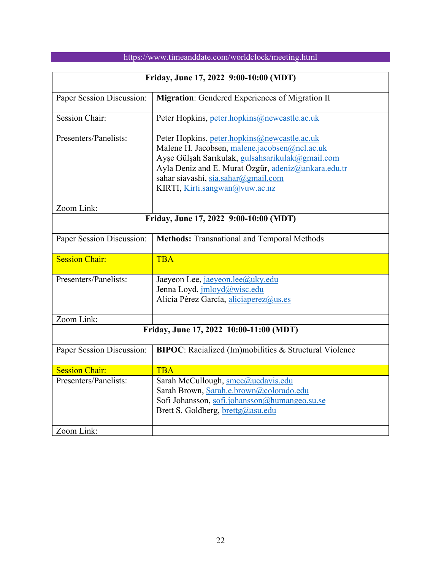|  | https://www.timeanddate.com/worldclock/meeting.html |  |
|--|-----------------------------------------------------|--|
|  |                                                     |  |

| Friday, June 17, 2022 9:00-10:00 (MDT)  |                                                                                                                                                                                                                                                                                   |  |
|-----------------------------------------|-----------------------------------------------------------------------------------------------------------------------------------------------------------------------------------------------------------------------------------------------------------------------------------|--|
| Paper Session Discussion:               | Migration: Gendered Experiences of Migration II                                                                                                                                                                                                                                   |  |
| <b>Session Chair:</b>                   | Peter Hopkins, peter.hopkins@newcastle.ac.uk                                                                                                                                                                                                                                      |  |
| Presenters/Panelists:                   | Peter Hopkins, peter.hopkins@newcastle.ac.uk<br>Malene H. Jacobsen, malene.jacobsen@ncl.ac.uk<br>Ayşe Gülşah Sarıkulak, gulsahsarikulak@gmail.com<br>Ayla Deniz and E. Murat Özgür, adeniz@ankara.edu.tr<br>sahar siavashi, sia.sahar@gmail.com<br>KIRTI, Kirti.sangwan@vuw.ac.nz |  |
| Zoom Link:                              |                                                                                                                                                                                                                                                                                   |  |
|                                         | Friday, June 17, 2022 9:00-10:00 (MDT)                                                                                                                                                                                                                                            |  |
| Paper Session Discussion:               | <b>Methods:</b> Transnational and Temporal Methods                                                                                                                                                                                                                                |  |
| <b>Session Chair:</b>                   | <b>TBA</b>                                                                                                                                                                                                                                                                        |  |
| Presenters/Panelists:                   | Jaeyeon Lee, jaeyeon.lee@uky.edu<br>Jenna Loyd, jmloyd@wisc.edu<br>Alicia Pérez García, aliciaperez@us.es                                                                                                                                                                         |  |
| Zoom Link:                              |                                                                                                                                                                                                                                                                                   |  |
| Friday, June 17, 2022 10:00-11:00 (MDT) |                                                                                                                                                                                                                                                                                   |  |
| Paper Session Discussion:               | <b>BIPOC:</b> Racialized (Im)mobilities & Structural Violence                                                                                                                                                                                                                     |  |
| <b>Session Chair:</b>                   | <b>TBA</b>                                                                                                                                                                                                                                                                        |  |
| Presenters/Panelists:                   | Sarah McCullough, smcc@ucdavis.edu<br>Sarah Brown, Sarah.e.brown@colorado.edu<br>Sofi Johansson, sofi.johansson@humangeo.su.se<br>Brett S. Goldberg, brettg@asu.edu                                                                                                               |  |
| Zoom Link:                              |                                                                                                                                                                                                                                                                                   |  |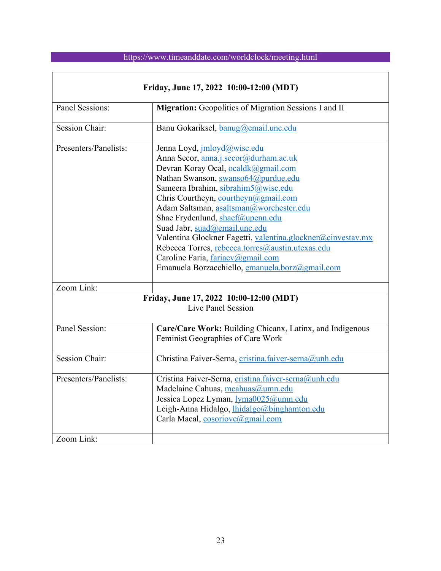$\overline{\phantom{a}}$ 

| Friday, June 17, 2022 10:00-12:00 (MDT)                                                                                                                                          |                                                                                                                                                                                                                                                                                                                                                                                                                                                                                                                                                              |  |
|----------------------------------------------------------------------------------------------------------------------------------------------------------------------------------|--------------------------------------------------------------------------------------------------------------------------------------------------------------------------------------------------------------------------------------------------------------------------------------------------------------------------------------------------------------------------------------------------------------------------------------------------------------------------------------------------------------------------------------------------------------|--|
| Panel Sessions:                                                                                                                                                                  | Migration: Geopolitics of Migration Sessions I and II                                                                                                                                                                                                                                                                                                                                                                                                                                                                                                        |  |
| <b>Session Chair:</b>                                                                                                                                                            | Banu Gokariksel, banug@email.unc.edu                                                                                                                                                                                                                                                                                                                                                                                                                                                                                                                         |  |
| Presenters/Panelists:                                                                                                                                                            | Jenna Loyd, jmloyd@wisc.edu<br>Anna Secor, anna.j.secor@durham.ac.uk<br>Devran Koray Ocal, ocaldk@gmail.com<br>Nathan Swanson, swanso64@purdue.edu<br>Sameera Ibrahim, sibrahim5@wisc.edu<br>Chris Courtheyn, courtheyn@gmail.com<br>Adam Saltsman, asaltsman@worchester.edu<br>Shae Frydenlund, shaef@upenn.edu<br>Suad Jabr, suad@email.unc.edu<br>Valentina Glockner Fagetti, valentina.glockner@cinvestav.mx<br>Rebecca Torres, rebecca.torres@austin.utexas.edu<br>Caroline Faria, fariacv@gmail.com<br>Emanuela Borzacchiello, emanuela.borz@gmail.com |  |
| Zoom Link:                                                                                                                                                                       |                                                                                                                                                                                                                                                                                                                                                                                                                                                                                                                                                              |  |
| Friday, June 17, 2022 10:00-12:00 (MDT)<br>Live Panel Session<br>Panel Session:<br>Care/Care Work: Building Chicanx, Latinx, and Indigenous<br>Feminist Geographies of Care Work |                                                                                                                                                                                                                                                                                                                                                                                                                                                                                                                                                              |  |
| <b>Session Chair:</b>                                                                                                                                                            | Christina Faiver-Serna, cristina.faiver-serna@unh.edu                                                                                                                                                                                                                                                                                                                                                                                                                                                                                                        |  |
| Presenters/Panelists:                                                                                                                                                            | Cristina Faiver-Serna, cristina.faiver-serna@unh.edu<br>Madelaine Cahuas, mcahuas@umn.edu<br>Jessica Lopez Lyman, lyma0025@umn.edu<br>Leigh-Anna Hidalgo, lhidalgo@binghamton.edu<br>Carla Macal, cosoriove@gmail.com                                                                                                                                                                                                                                                                                                                                        |  |
| Zoom Link:                                                                                                                                                                       |                                                                                                                                                                                                                                                                                                                                                                                                                                                                                                                                                              |  |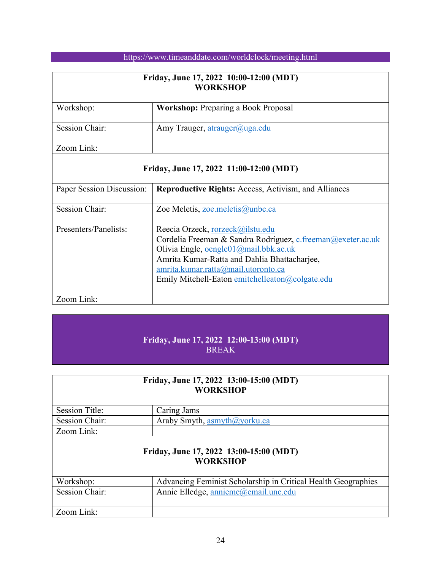| Friday, June 17, 2022 10:00-12:00 (MDT)<br><b>WORKSHOP</b> |                                            |  |
|------------------------------------------------------------|--------------------------------------------|--|
| Workshop:                                                  | <b>Workshop:</b> Preparing a Book Proposal |  |
| Session Chair:                                             | Amy Trauger, atrauger@uga.edu              |  |
| Zoom Link:                                                 |                                            |  |

### **Friday, June 17, 2022 11:00-12:00 (MDT)**

| Paper Session Discussion: | <b>Reproductive Rights:</b> Access, Activism, and Alliances                                                                                                                                                                                                                        |
|---------------------------|------------------------------------------------------------------------------------------------------------------------------------------------------------------------------------------------------------------------------------------------------------------------------------|
| <b>Session Chair:</b>     | Zoe Meletis, zoe.meletis@unbc.ca                                                                                                                                                                                                                                                   |
| Presenters/Panelists:     | Reecia Orzeck, rorzeck@ilstu.edu<br>Cordelia Freeman & Sandra Rodríguez, c.freeman@exeter.ac.uk<br>Olivia Engle, oengle01@mail.bbk.ac.uk<br>Amrita Kumar-Ratta and Dahlia Bhattacharjee,<br>amrita.kumar.ratta@mail.utoronto.ca<br>Emily Mitchell-Eaton emitchelleaton@colgate.edu |
| Zoom Link:                |                                                                                                                                                                                                                                                                                    |

### **Friday, June 17, 2022 12:00-13:00 (MDT)** BREAK

| Friday, June 17, 2022 13:00-15:00 (MDT)<br><b>WORKSHOP</b> |                                                               |  |
|------------------------------------------------------------|---------------------------------------------------------------|--|
| <b>Session Title:</b>                                      | Caring Jams                                                   |  |
| <b>Session Chair:</b>                                      | Araby Smyth, asmyth@yorku.ca                                  |  |
| Zoom Link:                                                 |                                                               |  |
| Friday, June 17, 2022 13:00-15:00 (MDT)<br><b>WORKSHOP</b> |                                                               |  |
| Workshop:                                                  | Advancing Feminist Scholarship in Critical Health Geographies |  |
| <b>Session Chair:</b>                                      | Annie Elledge, annieme@email.unc.edu                          |  |
| Zoom Link:                                                 |                                                               |  |